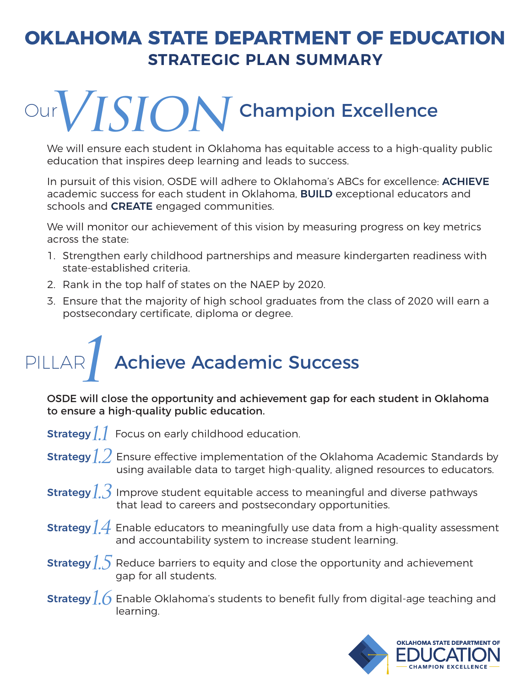#### **OKLAHOMA STATE DEPARTMENT OF EDUCATION STRATEGIC PLAN SUMMARY**

## Our  $VISION$  Champion Excellence

We will ensure each student in Oklahoma has equitable access to a high-quality public education that inspires deep learning and leads to success.

In pursuit of this vision, OSDE will adhere to Oklahoma's ABCs for excellence: **ACHIEVE** academic success for each student in Oklahoma, **BUILD** exceptional educators and schools and **CREATE** engaged communities.

We will monitor our achievement of this vision by measuring progress on key metrics across the state:

- 1. Strengthen early childhood partnerships and measure kindergarten readiness with state-established criteria.
- 2. Rank in the top half of states on the NAEP by 2020.
- 3. Ensure that the majority of high school graduates from the class of 2020 will earn a postsecondary certificate, diploma or degree.

## PILLAR **Achieve Academic Success**

OSDE will close the opportunity and achievement gap for each student in Oklahoma to ensure a high-quality public education.

**Strategy**  $11$  Focus on early childhood education.

- **Strategy**  $12$  Ensure effective implementation of the Oklahoma Academic Standards by using available data to target high-quality, aligned resources to educators.
- **Strategy** $\c\jmath$  **)** Improve student equitable access to meaningful and diverse pathways that lead to careers and postsecondary opportunities.
- **Strategy**  $1.4\,$  **E**nable educators to meaningfully use data from a high-quality assessment and accountability system to increase student learning.
- **Strategy**  $1.5$  Reduce barriers to equity and close the opportunity and achievement gap for all students.
- **Strategy**  $16$  Enable Oklahoma's students to benefit fully from digital-age teaching and learning.